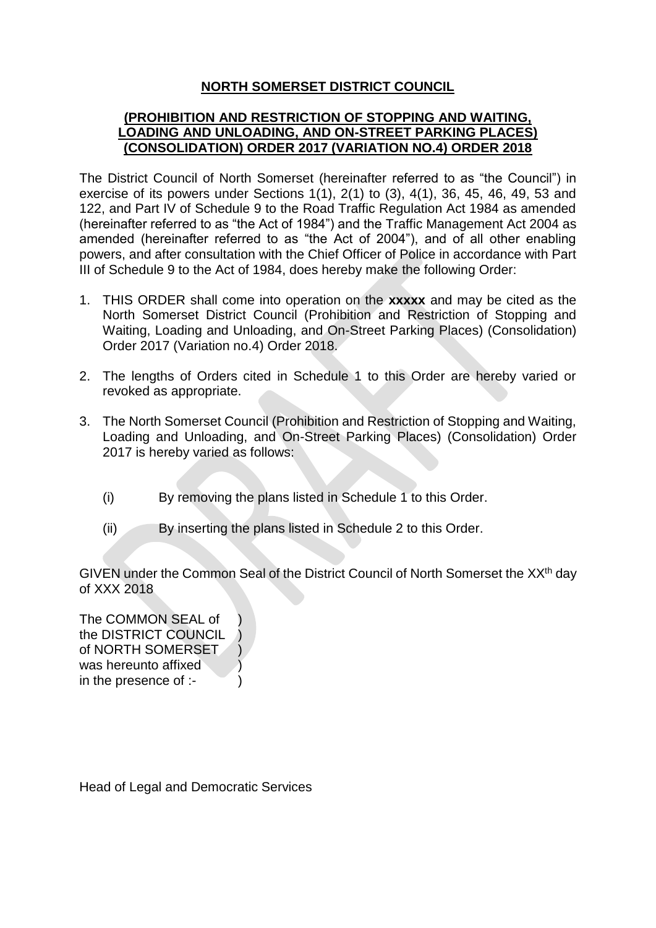## **NORTH SOMERSET DISTRICT COUNCIL**

## **(PROHIBITION AND RESTRICTION OF STOPPING AND WAITING, LOADING AND UNLOADING, AND ON-STREET PARKING PLACES) (CONSOLIDATION) ORDER 2017 (VARIATION NO.4) ORDER 2018**

The District Council of North Somerset (hereinafter referred to as "the Council") in exercise of its powers under Sections 1(1), 2(1) to (3), 4(1), 36, 45, 46, 49, 53 and 122, and Part IV of Schedule 9 to the Road Traffic Regulation Act 1984 as amended (hereinafter referred to as "the Act of 1984") and the Traffic Management Act 2004 as amended (hereinafter referred to as "the Act of 2004"), and of all other enabling powers, and after consultation with the Chief Officer of Police in accordance with Part III of Schedule 9 to the Act of 1984, does hereby make the following Order:

- 1. THIS ORDER shall come into operation on the **xxxxx** and may be cited as the North Somerset District Council (Prohibition and Restriction of Stopping and Waiting, Loading and Unloading, and On-Street Parking Places) (Consolidation) Order 2017 (Variation no.4) Order 2018.
- 2. The lengths of Orders cited in Schedule 1 to this Order are hereby varied or revoked as appropriate.
- 3. The North Somerset Council (Prohibition and Restriction of Stopping and Waiting, Loading and Unloading, and On-Street Parking Places) (Consolidation) Order 2017 is hereby varied as follows:
	- (i) By removing the plans listed in Schedule 1 to this Order.
	- (ii) By inserting the plans listed in Schedule 2 to this Order.

GIVEN under the Common Seal of the District Council of North Somerset the XX<sup>th</sup> day of XXX 2018

The COMMON SEAL of ) the DISTRICT COUNCIL ) of NORTH SOMERSET ) was hereunto affixed in the presence of :-

Head of Legal and Democratic Services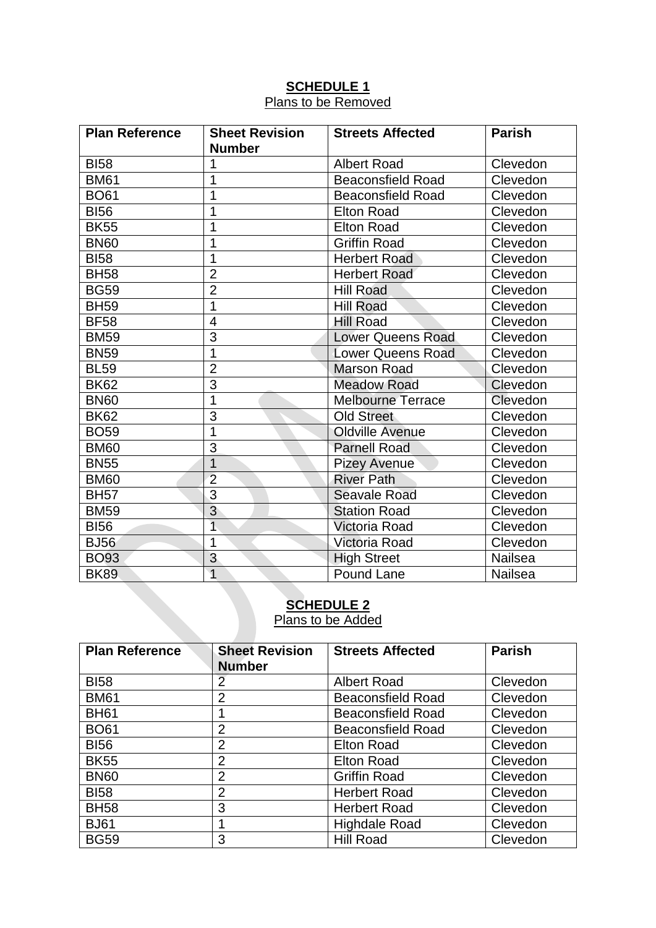## **SCHEDULE 1** Plans to be Removed

| <b>Plan Reference</b> | <b>Sheet Revision</b><br><b>Number</b> | <b>Streets Affected</b>  | <b>Parish</b>  |
|-----------------------|----------------------------------------|--------------------------|----------------|
| <b>BI58</b>           |                                        | <b>Albert Road</b>       | Clevedon       |
| <b>BM61</b>           | 1                                      | <b>Beaconsfield Road</b> | Clevedon       |
| <b>BO61</b>           | 1                                      | <b>Beaconsfield Road</b> | Clevedon       |
| <b>BI56</b>           | 1                                      | <b>Elton Road</b>        | Clevedon       |
| <b>BK55</b>           | 1                                      | <b>Elton Road</b>        | Clevedon       |
| <b>BN60</b>           | 1                                      | <b>Griffin Road</b>      | Clevedon       |
| <b>BI58</b>           | 1                                      | <b>Herbert Road</b>      | Clevedon       |
| <b>BH58</b>           | $\overline{2}$                         | <b>Herbert Road</b>      | Clevedon       |
| <b>BG59</b>           | $\overline{2}$                         | <b>Hill Road</b>         | Clevedon       |
| <b>BH59</b>           | 1                                      | <b>Hill Road</b>         | Clevedon       |
| <b>BF58</b>           | $\overline{4}$                         | <b>Hill Road</b>         | Clevedon       |
| <b>BM59</b>           | $\overline{3}$                         | <b>Lower Queens Road</b> | Clevedon       |
| <b>BN59</b>           | 1                                      | <b>Lower Queens Road</b> | Clevedon       |
| <b>BL59</b>           | $\overline{2}$                         | <b>Marson Road</b>       | Clevedon       |
| <b>BK62</b>           | $\overline{3}$                         | <b>Meadow Road</b>       | Clevedon       |
| <b>BN60</b>           | 1                                      | <b>Melbourne Terrace</b> | Clevedon       |
| <b>BK62</b>           | 3                                      | <b>Old Street</b>        | Clevedon       |
| <b>BO59</b>           | 1                                      | <b>Oldville Avenue</b>   | Clevedon       |
| <b>BM60</b>           | $\overline{3}$                         | <b>Parnell Road</b>      | Clevedon       |
| <b>BN55</b>           | $\overline{1}$                         | <b>Pizey Avenue</b>      | Clevedon       |
| <b>BM60</b>           | $\overline{2}$                         | <b>River Path</b>        | Clevedon       |
| <b>BH57</b>           | $\overline{3}$                         | <b>Seavale Road</b>      | Clevedon       |
| <b>BM59</b>           | $\overline{3}$                         | <b>Station Road</b>      | Clevedon       |
| <b>BI56</b>           | $\overline{1}$                         | <b>Victoria Road</b>     | Clevedon       |
| <b>BJ56</b>           | 1                                      | Victoria Road            | Clevedon       |
| <b>BO93</b>           | $\overline{3}$                         | <b>High Street</b>       | <b>Nailsea</b> |
| <b>BK89</b>           | $\overline{1}$                         | <b>Pound Lane</b>        | <b>Nailsea</b> |

## **SCHEDULE 2 Plans to be Added**

| <b>Plan Reference</b> | <b>Sheet Revision</b><br><b>Number</b> | <b>Streets Affected</b>  | <b>Parish</b> |
|-----------------------|----------------------------------------|--------------------------|---------------|
| <b>BI58</b>           | 2                                      | <b>Albert Road</b>       | Clevedon      |
| <b>BM61</b>           | $\overline{2}$                         | <b>Beaconsfield Road</b> | Clevedon      |
| <b>BH61</b>           |                                        | <b>Beaconsfield Road</b> | Clevedon      |
| <b>BO61</b>           | $\overline{2}$                         | <b>Beaconsfield Road</b> | Clevedon      |
| <b>BI56</b>           | $\overline{2}$                         | <b>Elton Road</b>        | Clevedon      |
| <b>BK55</b>           | $\overline{2}$                         | <b>Elton Road</b>        | Clevedon      |
| <b>BN60</b>           | $\overline{2}$                         | <b>Griffin Road</b>      | Clevedon      |
| <b>BI58</b>           | $\overline{2}$                         | <b>Herbert Road</b>      | Clevedon      |
| <b>BH58</b>           | 3                                      | <b>Herbert Road</b>      | Clevedon      |
| <b>BJ61</b>           |                                        | <b>Highdale Road</b>     | Clevedon      |
| <b>BG59</b>           | 3                                      | <b>Hill Road</b>         | Clevedon      |